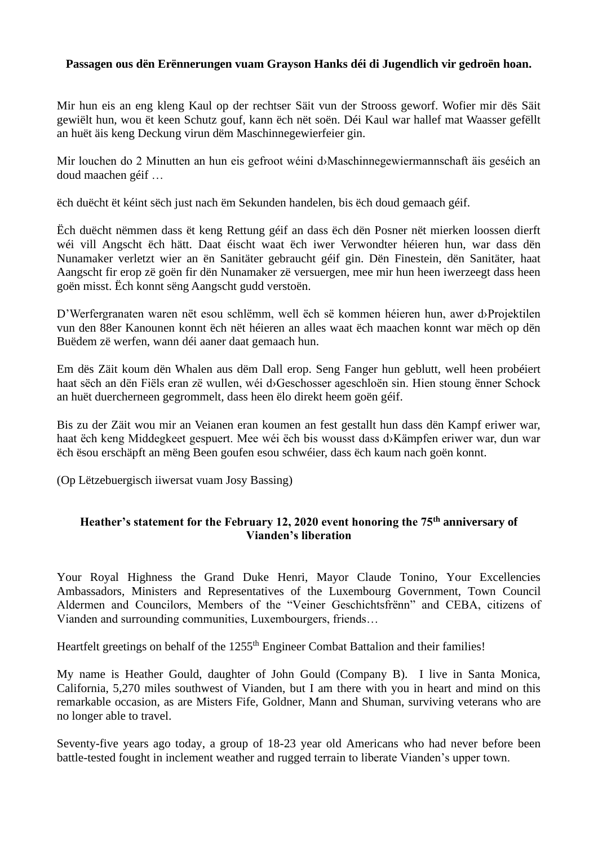## **Passagen ous dën Erënnerungen vuam Grayson Hanks déi di Jugendlich vir gedroën hoan.**

Mir hun eis an eng kleng Kaul op der rechtser Säit vun der Strooss geworf. Wofier mir dës Säit gewiëlt hun, wou ët keen Schutz gouf, kann ëch nët soën. Déi Kaul war hallef mat Waasser gefëllt an huët äis keng Deckung virun dëm Maschinnegewierfeier gin.

Mir louchen do 2 Minutten an hun eis gefroot wéini d›Maschinnegewiermannschaft äis geséich an doud maachen géif …

ëch duëcht ët kéint sëch just nach ëm Sekunden handelen, bis ëch doud gemaach géif.

Ëch duëcht nëmmen dass ët keng Rettung géif an dass ëch dën Posner nët mierken loossen dierft wéi vill Angscht ëch hätt. Daat éischt waat ëch iwer Verwondter héieren hun, war dass dën Nunamaker verletzt wier an ën Sanitäter gebraucht géif gin. Dën Finestein, dën Sanitäter, haat Aangscht fir erop zë goën fir dën Nunamaker zë versuergen, mee mir hun heen iwerzeegt dass heen goën misst. Ëch konnt sëng Aangscht gudd verstoën.

D'Werfergranaten waren nët esou schlëmm, well ëch së kommen héieren hun, awer d›Projektilen vun den 88er Kanounen konnt ëch nët héieren an alles waat ëch maachen konnt war mëch op dën Buëdem zë werfen, wann déi aaner daat gemaach hun.

Em dës Zäit koum dën Whalen aus dëm Dall erop. Seng Fanger hun geblutt, well heen probéiert haat sëch an dën Fiëls eran zë wullen, wéi d›Geschosser ageschloën sin. Hien stoung ënner Schock an huët duercherneen gegrommelt, dass heen ëlo direkt heem goën géif.

Bis zu der Zäit wou mir an Veianen eran koumen an fest gestallt hun dass dën Kampf eriwer war, haat ëch keng Middegkeet gespuert. Mee wéi ëch bis wousst dass d›Kämpfen eriwer war, dun war ëch ësou erschäpft an mëng Been goufen esou schwéier, dass ëch kaum nach goën konnt.

(Op Lëtzebuergisch iiwersat vuam Josy Bassing)

## **Heather's statement for the February 12, 2020 event honoring the 75th anniversary of Vianden's liberation**

Your Royal Highness the Grand Duke Henri, Mayor Claude Tonino, Your Excellencies Ambassadors, Ministers and Representatives of the Luxembourg Government, Town Council Aldermen and Councilors, Members of the "Veiner Geschichtsfrënn" and CEBA, citizens of Vianden and surrounding communities, Luxembourgers, friends…

Heartfelt greetings on behalf of the 1255<sup>th</sup> Engineer Combat Battalion and their families!

My name is Heather Gould, daughter of John Gould (Company B). I live in Santa Monica, California, 5,270 miles southwest of Vianden, but I am there with you in heart and mind on this remarkable occasion, as are Misters Fife, Goldner, Mann and Shuman, surviving veterans who are no longer able to travel.

Seventy-five years ago today, a group of 18-23 year old Americans who had never before been battle-tested fought in inclement weather and rugged terrain to liberate Vianden's upper town.